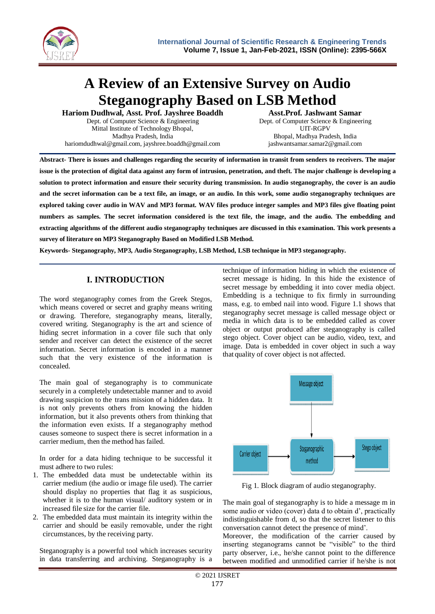

# **A Review of an Extensive Survey on Audio Steganography Based on LSB Method**

**Hariom Dudhwal, Asst. Prof. Jayshree Boaddh** Dept. of Computer Science & Engineering Mittal Institute of Technology Bhopal, Madhya Pradesh, India hariomdudhwal@gmail.com, jayshree.boaddh@gmail.com

**Asst.Prof. Jashwant Samar** Dept. of Computer Science & Engineering UIT-RGPV Bhopal, Madhya Pradesh, India jashwantsamar.samar2@gmail.com

**Abstract- There is issues and challenges regarding the security of information in transit from senders to receivers. The major issue is the protection of digital data against any form of intrusion, penetration, and theft. The major challenge is developing a solution to protect information and ensure their security during transmission. In audio steganography, the cover is an audio and the secret information can be a text file, an image, or an audio. In this work, some audio steganography techniques are explored taking cover audio in WAV and MP3 format. WAV files produce integer samples and MP3 files give floating point numbers as samples. The secret information considered is the text file, the image, and the audio. The embedding and extracting algorithms of the different audio steganography techniques are discussed in this examination. This work presents a survey of literature on MP3 Steganography Based on Modified LSB Method.**

**Keywords- Steganography, MP3, Audio Steganography, LSB Method, LSB technique in MP3 steganography.**

# **I. INTRODUCTION**

The word steganography comes from the Greek Stegos, which means covered or secret and graphy means writing or drawing. Therefore, steganography means, literally, covered writing. Steganography is the art and science of hiding secret information in a cover file such that only sender and receiver can detect the existence of the secret information. Secret information is encoded in a manner such that the very existence of the information is concealed.

The main goal of steganography is to communicate securely in a completely undetectable manner and to avoid drawing suspicion to the trans mission of a hidden data. It is not only prevents others from knowing the hidden information, but it also prevents others from thinking that the information even exists. If a steganography method causes someone to suspect there is secret information in a carrier medium, then the method has failed.

In order for a data hiding technique to be successful it must adhere to two rules:

- 1. The embedded data must be undetectable within its carrier medium (the audio or image file used). The carrier should display no properties that flag it as suspicious, whether it is to the human visual/ auditory system or in increased file size for the carrier file.
- 2. The embedded data must maintain its integrity within the carrier and should be easily removable, under the right circumstances, by the receiving party.

Steganography is a powerful tool which increases security in data transferring and archiving. Steganography is a technique of information hiding in which the existence of secret message is hiding. In this hide the existence of secret message by embedding it into cover media object. Embedding is a technique to fix firmly in surrounding mass, e.g. to embed nail into wood. Figure 1.1 shows that steganography secret message is called message object or media in which data is to be embedded called as cover object or output produced after steganography is called stego object. Cover object can be audio, video, text, and image. Data is embedded in cover object in such a way that quality of cover object is not affected.



Fig 1. Block diagram of audio steganography.

The main goal of steganography is to hide a message m in some audio or video (cover) data d to obtain d', practically indistinguishable from d, so that the secret listener to this conversation cannot detect the presence of mind'.

Moreover, the modification of the carrier caused by inserting steganograms cannot be "visible" to the third party observer, i.e., he/she cannot point to the difference between modified and unmodified carrier if he/she is not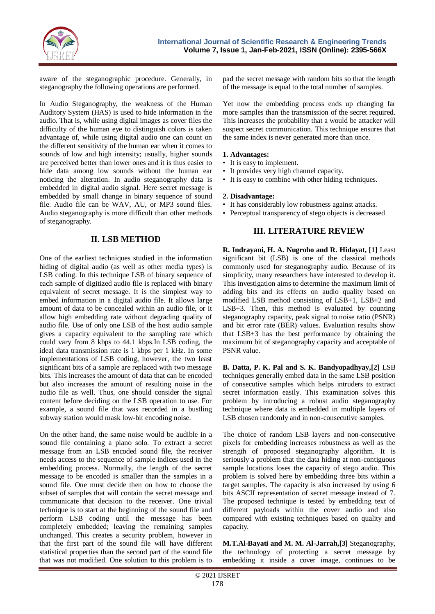

aware of the steganographic procedure. Generally, in steganography the following operations are performed.

In Audio Steganography, the weakness of the Human Auditory System (HAS) is used to hide information in the audio. That is, while using digital images as cover files the difficulty of the human eye to distinguish colors is taken advantage of, while using digital audio one can count on the different sensitivity of the human ear when it comes to sounds of low and high intensity; usually, higher sounds are perceived better than lower ones and it is thus easier to hide data among low sounds without the human ear noticing the alteration. In audio steganography data is embedded in digital audio signal. Here secret message is embedded by small change in binary sequence of sound file. Audio file can be WAV, AU, or MP3 sound files. Audio steganography is more difficult than other methods of steganography.

## **II. LSB METHOD**

One of the earliest techniques studied in the information hiding of digital audio (as well as other media types) is LSB coding. In this technique LSB of binary sequence of each sample of digitized audio file is replaced with binary equivalent of secret message. It is the simplest way to embed information in a digital audio file. It allows large amount of data to be concealed within an audio file, or it allow high embedding rate without degrading quality of audio file. Use of only one LSB of the host audio sample gives a capacity equivalent to the sampling rate which could vary from 8 kbps to 44.1 kbps.In LSB coding, the ideal data transmission rate is 1 kbps per 1 kHz. In some implementations of LSB coding, however, the two least significant bits of a sample are replaced with two message bits. This increases the amount of data that can be encoded but also increases the amount of resulting noise in the audio file as well. Thus, one should consider the signal content before deciding on the LSB operation to use. For example, a sound file that was recorded in a bustling subway station would mask low-bit encoding noise.

On the other hand, the same noise would be audible in a sound file containing a piano solo. To extract a secret message from an LSB encoded sound file, the receiver needs access to the sequence of sample indices used in the embedding process. Normally, the length of the secret message to be encoded is smaller than the samples in a sound file. One must decide then on how to choose the subset of samples that will contain the secret message and communicate that decision to the receiver. One trivial technique is to start at the beginning of the sound file and perform LSB coding until the message has been completely embedded; leaving the remaining samples unchanged. This creates a security problem, however in that the first part of the sound file will have different statistical properties than the second part of the sound file that was not modified. One solution to this problem is to

pad the secret message with random bits so that the length of the message is equal to the total number of samples.

Yet now the embedding process ends up changing far more samples than the transmission of the secret required. This increases the probability that a would be attacker will suspect secret communication. This technique ensures that the same index is never generated more than once.

#### **1. Advantages:**

- It is easy to implement.
- It provides very high channel capacity.
- It is easy to combine with other hiding techniques.

#### **2. Disadvantage:**

- It has considerably low robustness against attacks.
- Perceptual transparency of stego objects is decreased

## **III. LITERATURE REVIEW**

**R. Indrayani, H. A. Nugroho and R. Hidayat, [1]** Least significant bit (LSB) is one of the classical methods commonly used for steganography audio. Because of its simplicity, many researchers have interested to develop it. This investigation aims to determine the maximum limit of adding bits and its effects on audio quality based on modified LSB method consisting of LSB+1, LSB+2 and LSB+3. Then, this method is evaluated by counting steganography capacity, peak signal to noise ratio (PSNR) and bit error rate (BER) values. Evaluation results show that LSB+3 has the best performance by obtaining the maximum bit of steganography capacity and acceptable of PSNR value.

**B. Datta, P. K. Pal and S. K. Bandyopadhyay,[2]** LSB techniques generally embed data in the same LSB position of consecutive samples which helps intruders to extract secret information easily. This examination solves this problem by introducing a robust audio steganography technique where data is embedded in multiple layers of LSB chosen randomly and in non-consecutive samples.

The choice of random LSB layers and non-consecutive pixels for embedding increases robustness as well as the strength of proposed steganography algorithm. It is seriously a problem that the data hiding at non-contiguous sample locations loses the capacity of stego audio. This problem is solved here by embedding three bits within a target samples. The capacity is also increased by using 6 bits ASCII representation of secret message instead of 7. The proposed technique is tested by embedding text of different payloads within the cover audio and also compared with existing techniques based on quality and capacity.

**M.T.Al-Bayati and M. M. Al-Jarrah,[3]** Steganography, the technology of protecting a secret message by embedding it inside a cover image, continues to be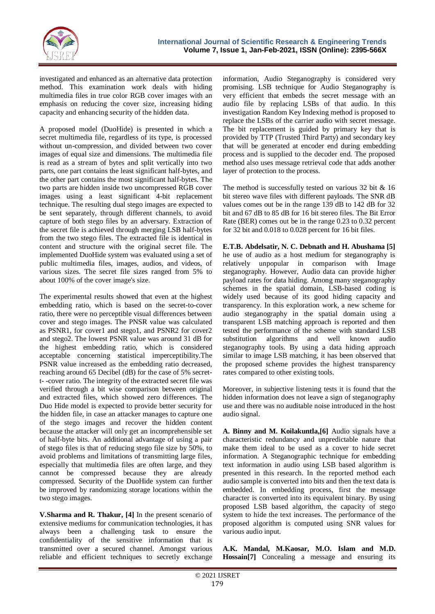

investigated and enhanced as an alternative data protection method. This examination work deals with hiding multimedia files in true color RGB cover images with an emphasis on reducing the cover size, increasing hiding capacity and enhancing security of the hidden data.

A proposed model (DuoHide) is presented in which a secret multimedia file, regardless of its type, is processed without un-compression, and divided between two cover images of equal size and dimensions. The multimedia file is read as a stream of bytes and split vertically into two parts, one part contains the least significant half-bytes, and the other part contains the most significant half-bytes. The two parts are hidden inside two uncompressed RGB cover images using a least significant 4-bit replacement technique. The resulting dual stego images are expected to be sent separately, through different channels, to avoid capture of both stego files by an adversary. Extraction of the secret file is achieved through merging LSB half-bytes from the two stego files. The extracted file is identical in content and structure with the original secret file. The implemented DuoHide system was evaluated using a set of public multimedia files, images, audios, and videos, of various sizes. The secret file sizes ranged from 5% to about 100% of the cover image's size.

The experimental results showed that even at the highest embedding ratio, which is based on the secret-to-cover ratio, there were no perceptible visual differences between cover and stego images. The PNSR value was calculated as PSNR1, for cover1 and stego1, and PSNR2 for cover2 and stego2. The lowest PSNR value was around 31 dB for the highest embedding ratio, which is considered acceptable concerning statistical imperceptibility.The PSNR value increased as the embedding ratio decreased, reaching around 65 Decibel (dB) for the case of 5% secrett- -cover ratio. The integrity of the extracted secret file was verified through a bit wise comparison between original and extracted files, which showed zero differences. The Duo Hide model is expected to provide better security for the hidden file, in case an attacker manages to capture one of the stego images and recover the hidden content because the attacker will only get an incomprehensible set of half-byte bits. An additional advantage of using a pair of stego files is that of reducing stego file size by 50%, to avoid problems and limitations of transmitting large files, especially that multimedia files are often large, and they cannot be compressed because they are already compressed. Security of the DuoHide system can further be improved by randomizing storage locations within the two stego images.

**V.Sharma and R. Thakur, [4]** In the present scenario of extensive mediums for communication technologies, it has always been a challenging task to ensure the confidentiality of the sensitive information that is transmitted over a secured channel. Amongst various reliable and efficient techniques to secretly exchange information, Audio Steganography is considered very promising. LSB technique for Audio Steganography is very efficient that embeds the secret message with an audio file by replacing LSBs of that audio. In this investigation Random Key Indexing method is proposed to replace the LSBs of the carrier audio with secret message. The bit replacement is guided by primary key that is provided by TTP (Trusted Third Party) and secondary key that will be generated at encoder end during embedding process and is supplied to the decoder end. The proposed method also uses message retrieval code that adds another layer of protection to the process.

The method is successfully tested on various 32 bit & 16 bit stereo wave files with different payloads. The SNR dB values comes out be in the range 139 dB to 142 dB for 32 bit and 67 dB to 85 dB for 16 bit stereo files. The Bit Error Rate (BER) comes out be in the range 0.23 to 0.32 percent for 32 bit and 0.018 to 0.028 percent for 16 bit files.

**E.T.B. Abdelsatir, N. C. Debnath and H. Abushama [5]** he use of audio as a host medium for steganography is relatively unpopular in comparison with Image steganography. However, Audio data can provide higher payload rates for data hiding. Among many steganography schemes in the spatial domain, LSB-based coding is widely used because of its good hiding capacity and transparency. In this exploration work, a new scheme for audio steganography in the spatial domain using a transparent LSB matching approach is reported and then tested the performance of the scheme with standard LSB substitution algorithms and well known audio steganography tools. By using a data hiding approach similar to image LSB matching, it has been observed that the proposed scheme provides the highest transparency rates compared to other existing tools.

Moreover, in subjective listening tests it is found that the hidden information does not leave a sign of steganography use and there was no auditable noise introduced in the host audio signal.

**A. Binny and M. Koilakuntla,[6]** Audio signals have a characteristic redundancy and unpredictable nature that make them ideal to be used as a cover to hide secret information. A Steganographic technique for embedding text information in audio using LSB based algorithm is presented in this research. In the reported method each audio sample is converted into bits and then the text data is embedded. In embedding process, first the message character is converted into its equivalent binary. By using proposed LSB based algorithm, the capacity of stego system to hide the text increases. The performance of the proposed algorithm is computed using SNR values for various audio input.

**A.K. Mandal, M.Kaosar, M.O. Islam and M.D. Hossain[7]** Concealing a message and ensuring its